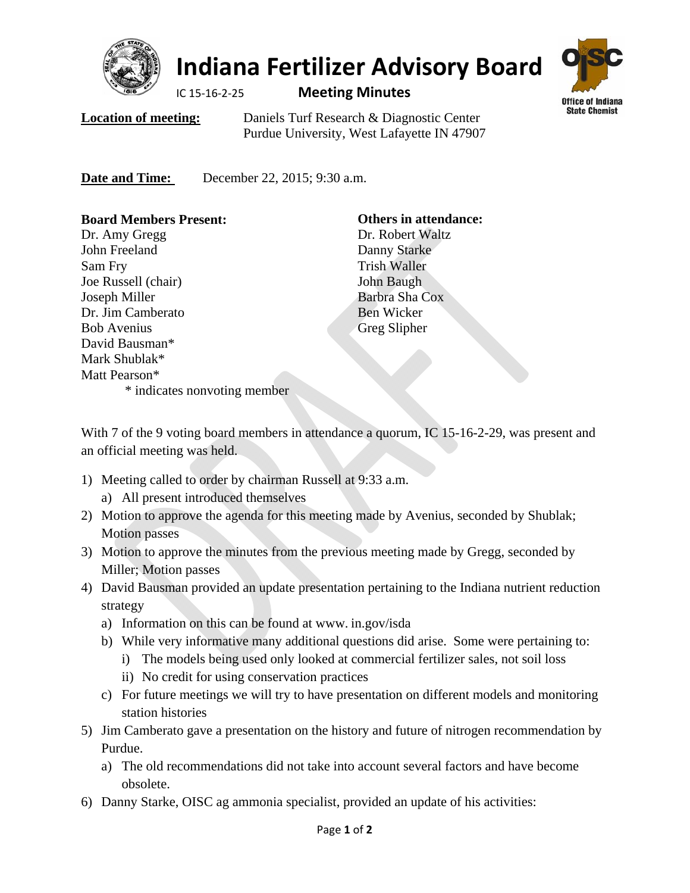

## **Indiana Fertilizer Advisory Board**

## IC 15‐16‐2‐25 **Meeting Minutes**



**Location of meeting:** Daniels Turf Research & Diagnostic Center Purdue University, West Lafayette IN 47907

**Date and Time:** December 22, 2015; 9:30 a.m.

| <b>Board Members Present:</b> | <b>Others in attendance:</b> |
|-------------------------------|------------------------------|
| Dr. Amy Gregg                 | Dr. Robert Waltz             |
| John Freeland                 | Danny Starke                 |
| Sam Fry                       | <b>Trish Waller</b>          |
| Joe Russell (chair)           | John Baugh                   |
| Joseph Miller                 | Barbra Sha Cox               |
| Dr. Jim Camberato             | Ben Wicker                   |
| <b>Bob Avenius</b>            | Greg Slipher                 |
| David Bausman*                |                              |
| Mark Shublak*                 |                              |
| Matt Pearson*                 |                              |
| * indicates nonvoting member  |                              |

With 7 of the 9 voting board members in attendance a quorum, IC 15-16-2-29, was present and an official meeting was held.

- 1) Meeting called to order by chairman Russell at 9:33 a.m.
	- a) All present introduced themselves
- 2) Motion to approve the agenda for this meeting made by Avenius, seconded by Shublak; Motion passes
- 3) Motion to approve the minutes from the previous meeting made by Gregg, seconded by Miller; Motion passes
- 4) David Bausman provided an update presentation pertaining to the Indiana nutrient reduction strategy
	- a) Information on this can be found at www. in.gov/isda
	- b) While very informative many additional questions did arise. Some were pertaining to:
		- i) The models being used only looked at commercial fertilizer sales, not soil loss
		- ii) No credit for using conservation practices
	- c) For future meetings we will try to have presentation on different models and monitoring station histories
- 5) Jim Camberato gave a presentation on the history and future of nitrogen recommendation by Purdue.
	- a) The old recommendations did not take into account several factors and have become obsolete.
- 6) Danny Starke, OISC ag ammonia specialist, provided an update of his activities: